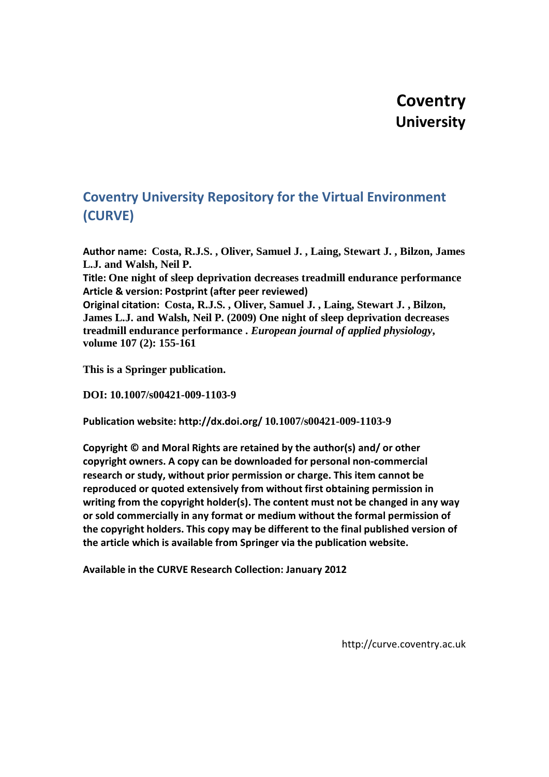# **Coventry University**

# **Coventry University Repository for the Virtual Environment (CURVE)**

**Author name: Costa, R.J.S. , Oliver, Samuel J. , Laing, Stewart J. , Bilzon, James L.J. and Walsh, Neil P.**

**Title: One night of sleep deprivation decreases treadmill endurance performance Article & version: Postprint (after peer reviewed)**

**Original citation: Costa, R.J.S. , Oliver, Samuel J. , Laing, Stewart J. , Bilzon, James L.J. and Walsh, Neil P. (2009) One night of sleep deprivation decreases treadmill endurance performance .** *European journal of applied physiology***, volume 107 (2): 155-161**

**This is a Springer publication.**

**DOI: 10.1007/s00421-009-1103-9**

**Publication website: http://dx.doi.org/ 10.1007/s00421-009-1103-9**

**Copyright © and Moral Rights are retained by the author(s) and/ or other copyright owners. A copy can be downloaded for personal non-commercial research or study, without prior permission or charge. This item cannot be reproduced or quoted extensively from without first obtaining permission in writing from the copyright holder(s). The content must not be changed in any way or sold commercially in any format or medium without the formal permission of the copyright holders. This copy may be different to the final published version of the article which is available from Springer via the publication website.**

**Available in the CURVE Research Collection: January 2012**

http://curve.coventry.ac.uk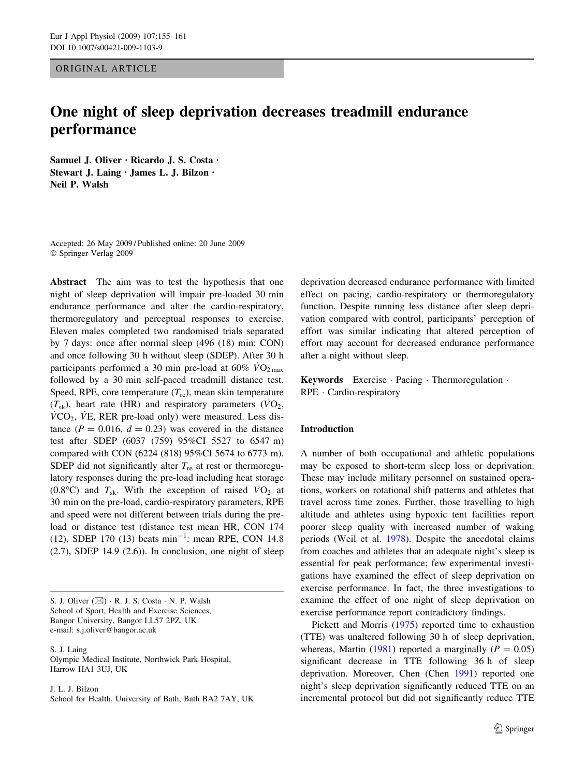ORIGINAL ARTICLE

# One night of sleep deprivation decreases treadmill endurance performance

Samuel J. Oliver · Ricardo J. S. Costa · Stewart J. Laing · James L. J. Bilzon · Neil P. Walsh

Accepted: 26 May 2009 / Published online: 20 June 2009 Springer-Verlag 2009

Abstract The aim was to test the hypothesis that one night of sleep deprivation will impair pre-loaded 30 min endurance performance and alter the cardio-respiratory, thermoregulatory and perceptual responses to exercise. Eleven males completed two randomised trials separated by 7 days: once after normal sleep (496 (18) min: CON) and once following 30 h without sleep (SDEP). After 30 h participants performed a 30 min pre-load at 60%  $\rm\,VO_{2\,max}$ followed by a 30 min self-paced treadmill distance test. Speed, RPE, core temperature  $(T_{\text{re}})$ , mean skin temperature  $(T_{sk})$ , heart rate (HR) and respiratory parameters ( $\dot{V}O_2$ ,  $VCO<sub>2</sub>$ , VE, RER pre-load only) were measured. Less distance ( $P = 0.016$ ,  $d = 0.23$ ) was covered in the distance test after SDEP (6037 (759) 95%CI 5527 to 6547 m) compared with CON (6224 (818) 95%CI 5674 to 6773 m). SDEP did not significantly alter  $T_{\text{re}}$  at rest or thermoregulatory responses during the pre-load including heat storage  $(0.8^{\circ}\text{C})$  and  $T_{\text{sk}}$ . With the exception of raised  $\dot{V}\text{O}_2$  at 30 min on the pre-load, cardio-respiratory parameters, RPE and speed were not different between trials during the preload or distance test (distance test mean HR, CON 174  $(12)$ , SDEP 170  $(13)$  beats min<sup>-1</sup>: mean RPE, CON 14.8 (2.7), SDEP 14.9 (2.6)). In conclusion, one night of sleep

S. J. Oliver  $(\boxtimes) \cdot R$ . J. S. Costa  $\cdot N$ . P. Walsh School of Sport, Health and Exercise Sciences, Bangor University, Bangor LL57 2PZ, UK e-mail: s.j.oliver@bangor.ac.uk

S. J. Laing Olympic Medical Institute, Northwick Park Hospital, Harrow HA1 3UJ, UK

J. L. J. Bilzon School for Health, University of Bath, Bath BA2 7AY, UK deprivation decreased endurance performance with limited effect on pacing, cardio-respiratory or thermoregulatory function. Despite running less distance after sleep deprivation compared with control, participants' perception of effort was similar indicating that altered perception of effort may account for decreased endurance performance after a night without sleep.

Keywords Exercise · Pacing · Thermoregulation · RPE · Cardio-respiratory

#### Introduction

A number of both occupational and athletic populations may be exposed to short-term sleep loss or deprivation. These may include military personnel on sustained operations, workers on rotational shift patterns and athletes that travel across time zones. Further, those travelling to high altitude and athletes using hypoxic tent facilities report poorer sleep quality with increased number of waking periods (Weil et al. [1978](#page-7-0)). Despite the anecdotal claims from coaches and athletes that an adequate night's sleep is essential for peak performance; few experimental investigations have examined the effect of sleep deprivation on exercise performance. In fact, the three investigations to examine the effect of one night of sleep deprivation on exercise performance report contradictory findings.

Pickett and Morris [\(1975](#page-7-0)) reported time to exhaustion (TTE) was unaltered following 30 h of sleep deprivation, whereas, Martin ([1981\)](#page-6-0) reported a marginally ( $P = 0.05$ ) significant decrease in TTE following 36 h of sleep deprivation. Moreover, Chen (Chen [1991\)](#page-6-0) reported one night's sleep deprivation significantly reduced TTE on an incremental protocol but did not significantly reduce TTE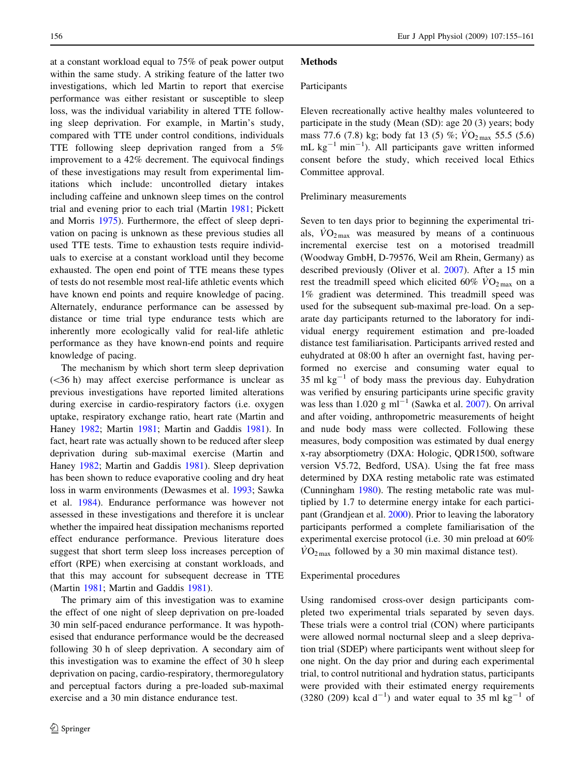at a constant workload equal to 75% of peak power output within the same study. A striking feature of the latter two investigations, which led Martin to report that exercise performance was either resistant or susceptible to sleep loss, was the individual variability in altered TTE following sleep deprivation. For example, in Martin's study, compared with TTE under control conditions, individuals TTE following sleep deprivation ranged from a 5% improvement to a 42% decrement. The equivocal findings of these investigations may result from experimental limitations which include: uncontrolled dietary intakes including caffeine and unknown sleep times on the control trial and evening prior to each trial (Martin [1981;](#page-6-0) Pickett and Morris [1975](#page-7-0)). Furthermore, the effect of sleep deprivation on pacing is unknown as these previous studies all used TTE tests. Time to exhaustion tests require individuals to exercise at a constant workload until they become exhausted. The open end point of TTE means these types of tests do not resemble most real-life athletic events which have known end points and require knowledge of pacing. Alternately, endurance performance can be assessed by distance or time trial type endurance tests which are inherently more ecologically valid for real-life athletic performance as they have known-end points and require knowledge of pacing.

The mechanism by which short term sleep deprivation  $(<36$  h) may affect exercise performance is unclear as previous investigations have reported limited alterations during exercise in cardio-respiratory factors (i.e. oxygen uptake, respiratory exchange ratio, heart rate (Martin and Haney [1982](#page-6-0); Martin [1981](#page-6-0); Martin and Gaddis [1981\)](#page-6-0). In fact, heart rate was actually shown to be reduced after sleep deprivation during sub-maximal exercise (Martin and Haney [1982;](#page-6-0) Martin and Gaddis [1981](#page-6-0)). Sleep deprivation has been shown to reduce evaporative cooling and dry heat loss in warm environments (Dewasmes et al. [1993;](#page-6-0) Sawka et al. [1984](#page-7-0)). Endurance performance was however not assessed in these investigations and therefore it is unclear whether the impaired heat dissipation mechanisms reported effect endurance performance. Previous literature does suggest that short term sleep loss increases perception of effort (RPE) when exercising at constant workloads, and that this may account for subsequent decrease in TTE (Martin [1981;](#page-6-0) Martin and Gaddis [1981\)](#page-6-0).

The primary aim of this investigation was to examine the effect of one night of sleep deprivation on pre-loaded 30 min self-paced endurance performance. It was hypothesised that endurance performance would be the decreased following 30 h of sleep deprivation. A secondary aim of this investigation was to examine the effect of 30 h sleep deprivation on pacing, cardio-respiratory, thermoregulatory and perceptual factors during a pre-loaded sub-maximal exercise and a 30 min distance endurance test.

#### **Methods**

#### Participants

Eleven recreationally active healthy males volunteered to participate in the study (Mean (SD): age 20 (3) years; body mass 77.6 (7.8) kg; body fat 13 (5) %;  $\dot{V}O_{2\text{max}}$  55.5 (5.6) mL  $kg^{-1}$  min<sup>-1</sup>). All participants gave written informed consent before the study, which received local Ethics Committee approval.

### Preliminary measurements

Seven to ten days prior to beginning the experimental trials,  $\rm{VO_{2\,max}}$  was measured by means of a continuous incremental exercise test on a motorised treadmill (Woodway GmbH, D-79576, Weil am Rhein, Germany) as described previously (Oliver et al. [2007](#page-7-0)). After a 15 min rest the treadmill speed which elicited 60%  $\rm\ddot{VO}_{2\,max}$  on a 1% gradient was determined. This treadmill speed was used for the subsequent sub-maximal pre-load. On a separate day participants returned to the laboratory for individual energy requirement estimation and pre-loaded distance test familiarisation. Participants arrived rested and euhydrated at 08:00 h after an overnight fast, having performed no exercise and consuming water equal to 35 ml  $kg^{-1}$  of body mass the previous day. Euhydration was verified by ensuring participants urine specific gravity was less than 1.020 g  $ml^{-1}$  (Sawka et al. [2007](#page-7-0)). On arrival and after voiding, anthropometric measurements of height and nude body mass were collected. Following these measures, body composition was estimated by dual energy x-ray absorptiometry (DXA: Hologic, QDR1500, software version V5.72, Bedford, USA). Using the fat free mass determined by DXA resting metabolic rate was estimated (Cunningham [1980\)](#page-6-0). The resting metabolic rate was multiplied by 1.7 to determine energy intake for each participant (Grandjean et al. [2000](#page-6-0)). Prior to leaving the laboratory participants performed a complete familiarisation of the experimental exercise protocol (i.e. 30 min preload at 60%  $\rm\dot{VO}_{2\,max}$  followed by a 30 min maximal distance test).

#### Experimental procedures

Using randomised cross-over design participants completed two experimental trials separated by seven days. These trials were a control trial (CON) where participants were allowed normal nocturnal sleep and a sleep deprivation trial (SDEP) where participants went without sleep for one night. On the day prior and during each experimental trial, to control nutritional and hydration status, participants were provided with their estimated energy requirements  $(3280 (209)$  kcal d<sup>-1</sup>) and water equal to 35 ml kg<sup>-1</sup> of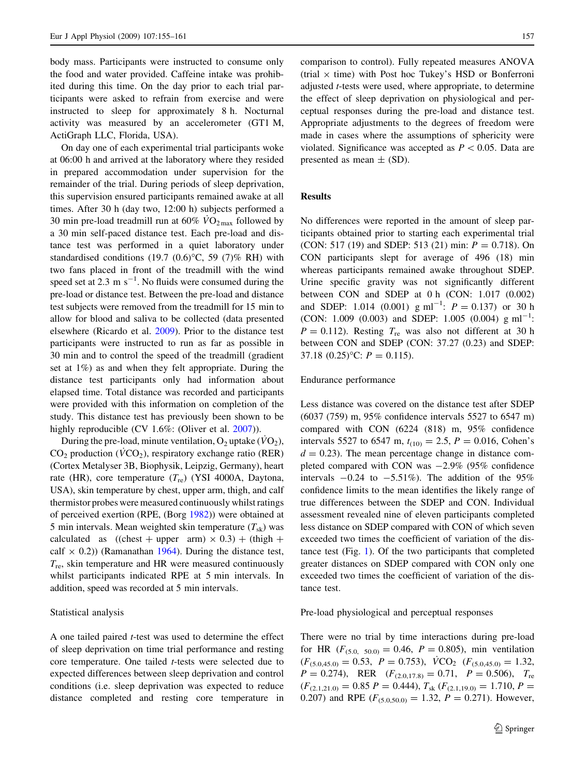body mass. Participants were instructed to consume only the food and water provided. Caffeine intake was prohibited during this time. On the day prior to each trial participants were asked to refrain from exercise and were instructed to sleep for approximately 8 h. Nocturnal activity was measured by an accelerometer (GT1 M, ActiGraph LLC, Florida, USA).

On day one of each experimental trial participants woke at 06:00 h and arrived at the laboratory where they resided in prepared accommodation under supervision for the remainder of the trial. During periods of sleep deprivation, this supervision ensured participants remained awake at all times. After 30 h (day two, 12:00 h) subjects performed a 30 min pre-load treadmill run at 60%  $\rm \dot{VO}_{2\,max}$  followed by a 30 min self-paced distance test. Each pre-load and distance test was performed in a quiet laboratory under standardised conditions (19.7  $(0.6)$ °C, 59  $(7)$ % RH) with two fans placed in front of the treadmill with the wind speed set at 2.3 m  $s^{-1}$ . No fluids were consumed during the pre-load or distance test. Between the pre-load and distance test subjects were removed from the treadmill for 15 min to allow for blood and saliva to be collected (data presented elsewhere (Ricardo et al. [2009\)](#page-7-0). Prior to the distance test participants were instructed to run as far as possible in 30 min and to control the speed of the treadmill (gradient set at 1%) as and when they felt appropriate. During the distance test participants only had information about elapsed time. Total distance was recorded and participants were provided with this information on completion of the study. This distance test has previously been shown to be highly reproducible (CV 1.6%: (Oliver et al. [2007](#page-7-0))).

During the pre-load, minute ventilation,  $O_2$  uptake ( $\dot{V}O_2$ ),  $CO<sub>2</sub>$  production ( $\dot{V}CO<sub>2</sub>$ ), respiratory exchange ratio (RER) (Cortex Metalyser 3B, Biophysik, Leipzig, Germany), heart rate (HR), core temperature  $(T_{\text{re}})$  (YSI 4000A, Daytona, USA), skin temperature by chest, upper arm, thigh, and calf thermistor probes were measured continuously whilst ratings of perceived exertion (RPE, (Borg [1982\)](#page-6-0)) were obtained at 5 min intervals. Mean weighted skin temperature  $(T_{sk})$  was calculated as  $((\text{check} + \text{upper arm}) \times 0.3) + (\text{thigh} +$ calf  $\times$  0.2)) (Ramanathan [1964\)](#page-7-0). During the distance test,  $T_{\text{re}}$ , skin temperature and HR were measured continuously whilst participants indicated RPE at 5 min intervals. In addition, speed was recorded at 5 min intervals.

#### Statistical analysis

A one tailed paired t-test was used to determine the effect of sleep deprivation on time trial performance and resting core temperature. One tailed t-tests were selected due to expected differences between sleep deprivation and control conditions (i.e. sleep deprivation was expected to reduce distance completed and resting core temperature in comparison to control). Fully repeated measures ANOVA (trial  $\times$  time) with Post hoc Tukey's HSD or Bonferroni adjusted t-tests were used, where appropriate, to determine the effect of sleep deprivation on physiological and perceptual responses during the pre-load and distance test. Appropriate adjustments to the degrees of freedom were made in cases where the assumptions of sphericity were violated. Significance was accepted as  $P < 0.05$ . Data are presented as mean  $\pm$  (SD).

# Results

No differences were reported in the amount of sleep participants obtained prior to starting each experimental trial (CON: 517 (19) and SDEP: 513 (21) min:  $P = 0.718$ ). On CON participants slept for average of 496 (18) min whereas participants remained awake throughout SDEP. Urine specific gravity was not significantly different between CON and SDEP at 0 h (CON: 1.017 (0.002) and SDEP: 1.014 (0.001)  $g \text{ ml}^{-1}$ :  $P = 0.137$  or 30 h (CON: 1.009 (0.003) and SDEP: 1.005 (0.004)  $g \text{ ml}^{-1}$ :  $P = 0.112$ . Resting  $T_{\text{re}}$  was also not different at 30 h between CON and SDEP (CON: 37.27 (0.23) and SDEP: 37.18  $(0.25)$ °C:  $P = 0.115$ ).

#### Endurance performance

Less distance was covered on the distance test after SDEP (6037 (759) m, 95% confidence intervals 5527 to 6547 m) compared with CON (6224 (818) m, 95% confidence intervals 5527 to 6547 m,  $t_{(10)} = 2.5$ ,  $P = 0.016$ , Cohen's  $d = 0.23$ ). The mean percentage change in distance completed compared with CON was  $-2.9\%$  (95% confidence intervals  $-0.24$  to  $-5.51\%$ ). The addition of the 95% confidence limits to the mean identifies the likely range of true differences between the SDEP and CON. Individual assessment revealed nine of eleven participants completed less distance on SDEP compared with CON of which seven exceeded two times the coefficient of variation of the distance test (Fig. [1\)](#page-4-0). Of the two participants that completed greater distances on SDEP compared with CON only one exceeded two times the coefficient of variation of the distance test.

Pre-load physiological and perceptual responses

There were no trial by time interactions during pre-load for HR ( $F_{(5.0, 50.0)} = 0.46$ ,  $P = 0.805$ ), min ventilation  $(F_{(5.0,45.0)} = 0.53, P = 0.753), \overline{VCO}_{2}$   $(F_{(5.0,45.0)} = 1.32,$  $P = 0.274$ , RER  $(F_{(2.0,17.8)} = 0.71, P = 0.506)$ ,  $T_{\text{re}}$  $(F_{(2.1,21.0)} = 0.85 \, P = 0.444), T_{sk}$   $(F_{(2.1,19.0)} = 1.710, P =$ 0.207) and RPE  $(F_{(5.0,50.0)} = 1.32, P = 0.271)$ . However,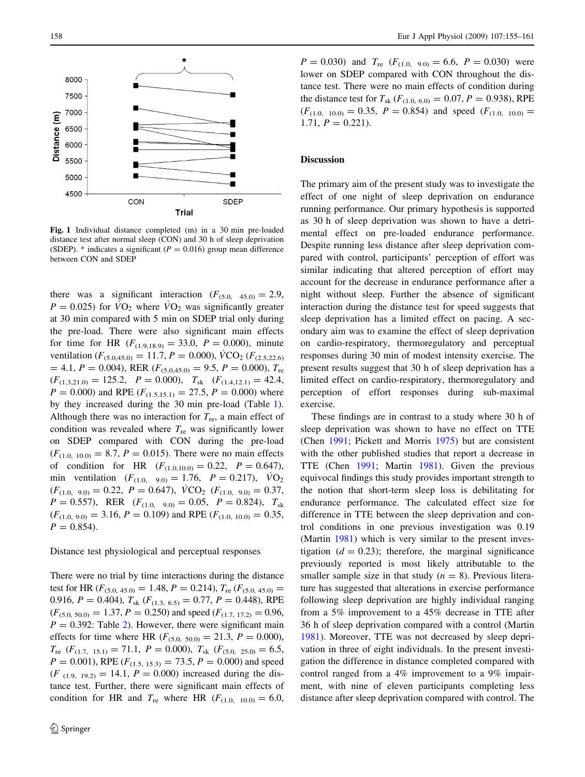<span id="page-4-0"></span>

Fig. 1 Individual distance completed (m) in a 30 min pre-loaded distance test after normal sleep (CON) and 30 h of sleep deprivation (SDEP). \* indicates a significant ( $P = 0.016$ ) group mean difference between CON and SDEP

there was a significant interaction  $(F_{(5.0, 45.0)} = 2.9$ ,  $P = 0.025$ ) for  $VO_2$  where  $VO_2$  was significantly greater at 30 min compared with 5 min on SDEP trial only during the pre-load. There were also significant main effects for time for HR  $(F_{(1.9,18.9)} = 33.0, P = 0.000)$ , minute ventilation ( $F_{(5,0,45,0)} = 11.7, P = 0.000$ ),  $\dot{V}CO_2$  ( $F_{(2,5,22,6)}$ )  $= 4.1, P = 0.004$ ), RER  $(F_{(5.0,45.0)} = 9.5, P = 0.000)$ ,  $T_{\text{re}}$  $(F_{(1.3,21.0)} = 125.2, P = 0.000), T_{sk} (F_{(1.4,12.1)} = 42.4,$  $P = 0.000$ ) and RPE  $(F_{(1.5,15,1)} = 27.5, P = 0.000)$  where by they increased during the 30 min pre-load (Table [1](#page-5-0)). Although there was no interaction for  $T_{\text{re}}$ , a main effect of condition was revealed where  $T_{\text{re}}$  was significantly lower on SDEP compared with CON during the pre-load  $(F_{(1.0, 10.0)} = 8.7, P = 0.015)$ . There were no main effects of condition for HR  $(F_{(1.0,10.0)} = 0.22, P = 0.647)$ , min ventilation  $(F_{(1,0)}, 9,0) = 1.76, P = 0.217, VO<sub>2</sub>$  $(F_{(1.0, 9.0)} = 0.22, P = 0.647), \dot{V}CO_2$   $(F_{(1.0, 9.0)} = 0.37,$  $P = 0.557$ , RER  $(F_{(1.0, 9.0)} = 0.05, P = 0.824)$ ,  $T_{sk}$  $(F_{(1.0, 9.0)} = 3.16, P = 0.109)$  and RPE  $(F_{(1.0, 10.0)} = 0.35,$  $P = 0.854$ .

# Distance test physiological and perceptual responses

There were no trial by time interactions during the distance test for HR ( $F_{(5.0, 45.0)} = 1.48, P = 0.214$ ),  $T_{\text{re}}$  ( $F_{(5.0, 45.0)} =$ 0.916,  $P = 0.404$ ),  $T_{sk}$  ( $F_{(1.3, 6.5)} = 0.77$ ,  $P = 0.448$ ), RPE  $(F_{(5,0, 50,0)} = 1.37, P = 0.250)$  and speed  $(F_{(1,7, 17,2)} = 0.96,$  $P = 0.392$ : Table [2\)](#page-5-0). However, there were significant main effects for time where HR ( $F_{(5.0, 50.0)} = 21.3, P = 0.000$ ),  $T_{\text{re}}$  ( $F_{(1.7, 15.1)} = 71.1, P = 0.000$ ),  $T_{\text{sk}}$  ( $F_{(5.0, 25.0)} = 6.5$ ,  $P = 0.001$ ), RPE ( $F_{(1.5, 15.3)} = 73.5$ ,  $P = 0.000$ ) and speed  $(F_{(1.9, 19.2)} = 14.1, P = 0.000)$  increased during the distance test. Further, there were significant main effects of condition for HR and  $T_{\text{re}}$  where HR  $(F_{(1.0, 10.0)} = 6.0,$ 

 $P = 0.030$ ) and  $T_{\text{re}}$   $(F_{(1.0, 9.0)} = 6.6, P = 0.030)$  were lower on SDEP compared with CON throughout the distance test. There were no main effects of condition during the distance test for  $T_{sk}$  ( $F_{(1,0, 6,0)} = 0.07, P = 0.938$ ), RPE  $(F_{(1.0, 10.0)} = 0.35, P = 0.854)$  and speed  $(F_{(1.0, 10.0)} =$ 1.71,  $P = 0.221$ .

# Discussion

The primary aim of the present study was to investigate the effect of one night of sleep deprivation on endurance running performance. Our primary hypothesis is supported as 30 h of sleep deprivation was shown to have a detrimental effect on pre-loaded endurance performance. Despite running less distance after sleep deprivation compared with control, participants' perception of effort was similar indicating that altered perception of effort may account for the decrease in endurance performance after a night without sleep. Further the absence of significant interaction during the distance test for speed suggests that sleep deprivation has a limited effect on pacing. A secondary aim was to examine the effect of sleep deprivation on cardio-respiratory, thermoregulatory and perceptual responses during 30 min of modest intensity exercise. The present results suggest that 30 h of sleep deprivation has a limited effect on cardio-respiratory, thermoregulatory and perception of effort responses during sub-maximal exercise.

These findings are in contrast to a study where 30 h of sleep deprivation was shown to have no effect on TTE (Chen [1991;](#page-6-0) Pickett and Morris [1975](#page-7-0)) but are consistent with the other published studies that report a decrease in TTE (Chen [1991;](#page-6-0) Martin [1981\)](#page-6-0). Given the previous equivocal findings this study provides important strength to the notion that short-term sleep loss is debilitating for endurance performance. The calculated effect size for difference in TTE between the sleep deprivation and control conditions in one previous investigation was 0.19 (Martin [1981](#page-6-0)) which is very similar to the present investigation  $(d = 0.23)$ ; therefore, the marginal significance previously reported is most likely attributable to the smaller sample size in that study  $(n = 8)$ . Previous literature has suggested that alterations in exercise performance following sleep deprivation are highly individual ranging from a 5% improvement to a 45% decrease in TTE after 36 h of sleep deprivation compared with a control (Martin [1981](#page-6-0)). Moreover, TTE was not decreased by sleep deprivation in three of eight individuals. In the present investigation the difference in distance completed compared with control ranged from a 4% improvement to a 9% impairment, with nine of eleven participants completing less distance after sleep deprivation compared with control. The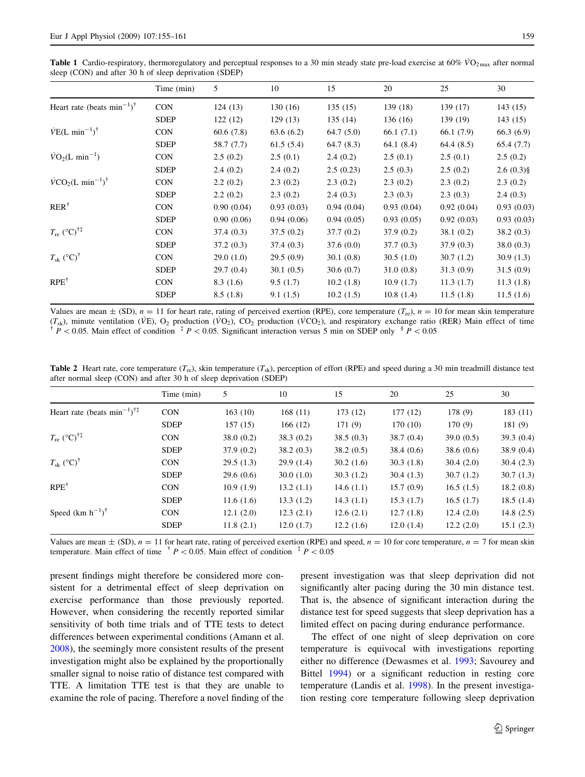<span id="page-5-0"></span>**Table 1** Cardio-respiratory, thermoregulatory and perceptual responses to a 30 min steady state pre-load exercise at 60%  $\dot{V}O_{2\text{max}}$  after normal sleep (CON) and after 30 h of sleep deprivation (SDEP)

|                                                    | Time (min)  | 5          | 10         | 15         | 20         | 25         | 30          |
|----------------------------------------------------|-------------|------------|------------|------------|------------|------------|-------------|
| Heart rate (beats min <sup>-1</sup> ) <sup>†</sup> | <b>CON</b>  | 124(13)    | 130(16)    | 135(15)    | 139 (18)   | 139 (17)   | 143(15)     |
|                                                    | <b>SDEP</b> | 122(12)    | 129(13)    | 135(14)    | 136(16)    | 139 (19)   | 143(15)     |
| $\dot{V}E(L \text{ min}^{-1})^{\dagger}$           | <b>CON</b>  | 60.6(7.8)  | 63.6(6.2)  | 64.7(5.0)  | 66.1(7.1)  | 66.1 (7.9) | 66.3(6.9)   |
|                                                    | <b>SDEP</b> | 58.7 (7.7) | 61.5(5.4)  | 64.7(8.3)  | 64.1 (8.4) | 64.4(8.5)  | 65.4(7.7)   |
| $\dot{V}O_2(L \text{ min}^{-1})$                   | <b>CON</b>  | 2.5(0.2)   | 2.5(0.1)   | 2.4(0.2)   | 2.5(0.1)   | 2.5(0.1)   | 2.5(0.2)    |
|                                                    | <b>SDEP</b> | 2.4(0.2)   | 2.4(0.2)   | 2.5(0.23)  | 2.5(0.3)   | 2.5(0.2)   | $2.6(0.3)\$ |
| $\dot{V}CO_2(L \text{ min}^{-1})^{\dagger}$        | <b>CON</b>  | 2.2(0.2)   | 2.3(0.2)   | 2.3(0.2)   | 2.3(0.2)   | 2.3(0.2)   | 2.3(0.2)    |
|                                                    | <b>SDEP</b> | 2.2(0.2)   | 2.3(0.2)   | 2.4(0.3)   | 2.3(0.3)   | 2.3(0.3)   | 2.4(0.3)    |
| $RER^{\dagger}$                                    | <b>CON</b>  | 0.90(0.04) | 0.93(0.03) | 0.94(0.04) | 0.93(0.04) | 0.92(0.04) | 0.93(0.03)  |
|                                                    | <b>SDEP</b> | 0.90(0.06) | 0.94(0.06) | 0.94(0.05) | 0.93(0.05) | 0.92(0.03) | 0.93(0.03)  |
| $T_{\rm re}$ (°C) <sup>†‡</sup>                    | <b>CON</b>  | 37.4(0.3)  | 37.5(0.2)  | 37.7(0.2)  | 37.9(0.2)  | 38.1(0.2)  | 38.2(0.3)   |
|                                                    | <b>SDEP</b> | 37.2(0.3)  | 37.4(0.3)  | 37.6(0.0)  | 37.7(0.3)  | 37.9(0.3)  | 38.0(0.3)   |
| $T_{\rm sk}$ (°C) <sup>†</sup>                     | <b>CON</b>  | 29.0(1.0)  | 29.5(0.9)  | 30.1(0.8)  | 30.5(1.0)  | 30.7(1.2)  | 30.9(1.3)   |
|                                                    | <b>SDEP</b> | 29.7(0.4)  | 30.1(0.5)  | 30.6(0.7)  | 31.0(0.8)  | 31.3(0.9)  | 31.5(0.9)   |
| $RPE^{\dagger}$                                    | <b>CON</b>  | 8.3(1.6)   | 9.5(1.7)   | 10.2(1.8)  | 10.9(1.7)  | 11.3(1.7)  | 11.3(1.8)   |
|                                                    | <b>SDEP</b> | 8.5(1.8)   | 9.1(1.5)   | 10.2(1.5)  | 10.8(1.4)  | 11.5(1.8)  | 11.5(1.6)   |

Values are mean  $\pm$  (SD),  $n = 11$  for heart rate, rating of perceived exertion (RPE), core temperature ( $T_{\text{re}}$ ),  $n = 10$  for mean skin temperature  $(T_{sk})$ , minute ventilation (VE), O<sub>2</sub> production (VO<sub>2</sub>), CO<sub>2</sub> production (VCO<sub>2</sub>), and respiratory exchange ratio (RER) Main effect of time  $P^+P$  < 0.05. Main effect of condition  $P^+P$  < 0.05. Significant interaction versus 5 min on SDEP only  $P^+P$  < 0.05

**Table 2** Heart rate, core temperature  $(T_{\rm re})$ , skin temperature  $(T_{\rm sk})$ , perception of effort (RPE) and speed during a 30 min treadmill distance test after normal sleep (CON) and after 30 h of sleep deprivation (SDEP)

|                                               | Time (min)  | 5         | 10        | 15        | 20        | 25        | 30           |
|-----------------------------------------------|-------------|-----------|-----------|-----------|-----------|-----------|--------------|
| Heart rate (beats $\min^{-1}$ ) <sup>†‡</sup> | <b>CON</b>  | 163(10)   | 168(11)   | 173 (12)  | 177(12)   | 178(9)    | 183(11)      |
|                                               | <b>SDEP</b> | 157(15)   | 166(12)   | 171(9)    | 170 (10)  | 170(9)    | 181(9)       |
| $T_{\rm re}$ (°C) <sup>†‡</sup>               | <b>CON</b>  | 38.0(0.2) | 38.3(0.2) | 38.5(0.3) | 38.7(0.4) | 39.0(0.5) | 39.3(0.4)    |
|                                               | <b>SDEP</b> | 37.9(0.2) | 38.2(0.3) | 38.2(0.5) | 38.4(0.6) | 38.6(0.6) | 38.9(0.4)    |
| $T_{\rm sk}$ (°C) <sup>†</sup>                | <b>CON</b>  | 29.5(1.3) | 29.9(1.4) | 30.2(1.6) | 30.3(1.8) | 30.4(2.0) | 30.4(2.3)    |
|                                               | <b>SDEP</b> | 29.6(0.6) | 30.0(1.0) | 30.3(1.2) | 30.4(1.3) | 30.7(1.2) | 30.7(1.3)    |
| $RPE^{\dagger}$                               | <b>CON</b>  | 10.9(1.9) | 13.2(1.1) | 14.6(1.1) | 15.7(0.9) | 16.5(1.5) | 18.2(0.8)    |
|                                               | <b>SDEP</b> | 11.6(1.6) | 13.3(1.2) | 14.3(1.1) | 15.3(1.7) | 16.5(1.7) | 18.5(1.4)    |
| Speed $(km h^{-1})^{\dagger}$                 | <b>CON</b>  | 12.1(2.0) | 12.3(2.1) | 12.6(2.1) | 12.7(1.8) | 12.4(2.0) | 14.8 $(2.5)$ |
|                                               | <b>SDEP</b> | 11.8(2.1) | 12.0(1.7) | 12.2(1.6) | 12.0(1.4) | 12.2(2.0) | 15.1(2.3)    |

Values are mean  $\pm$  (SD),  $n = 11$  for heart rate, rating of perceived exertion (RPE) and speed,  $n = 10$  for core temperature,  $n = 7$  for mean skin temperature. Main effect of time  $p' < 0.05$ . Main effect of condition  $p' < 0.05$ 

present findings might therefore be considered more consistent for a detrimental effect of sleep deprivation on exercise performance than those previously reported. However, when considering the recently reported similar sensitivity of both time trials and of TTE tests to detect differences between experimental conditions (Amann et al. [2008\)](#page-6-0), the seemingly more consistent results of the present investigation might also be explained by the proportionally smaller signal to noise ratio of distance test compared with TTE. A limitation TTE test is that they are unable to examine the role of pacing. Therefore a novel finding of the present investigation was that sleep deprivation did not significantly alter pacing during the 30 min distance test. That is, the absence of significant interaction during the distance test for speed suggests that sleep deprivation has a limited effect on pacing during endurance performance.

The effect of one night of sleep deprivation on core temperature is equivocal with investigations reporting either no difference (Dewasmes et al. [1993;](#page-6-0) Savourey and Bittel [1994](#page-7-0)) or a significant reduction in resting core temperature (Landis et al. [1998\)](#page-6-0). In the present investigation resting core temperature following sleep deprivation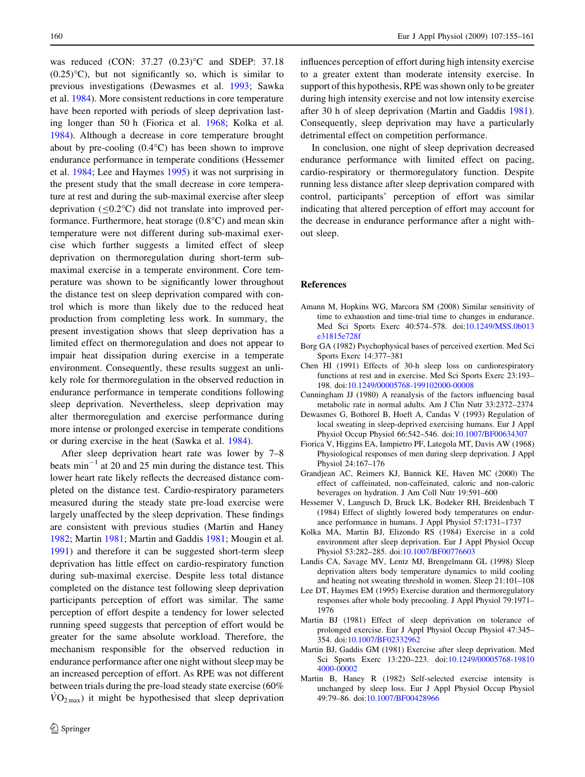<span id="page-6-0"></span>was reduced (CON: 37.27 (0.23)<sup>o</sup>C and SDEP: 37.18  $(0.25)$ °C), but not significantly so, which is similar to previous investigations (Dewasmes et al. 1993; Sawka et al. [1984\)](#page-7-0). More consistent reductions in core temperature have been reported with periods of sleep deprivation lasting longer than 50 h (Fiorica et al. 1968; Kolka et al. 1984). Although a decrease in core temperature brought about by pre-cooling  $(0.4^{\circ}C)$  has been shown to improve endurance performance in temperate conditions (Hessemer et al. 1984; Lee and Haymes 1995) it was not surprising in the present study that the small decrease in core temperature at rest and during the sub-maximal exercise after sleep deprivation  $(\leq 0.2^{\circ}C)$  did not translate into improved performance. Furthermore, heat storage  $(0.8^{\circ}C)$  and mean skin temperature were not different during sub-maximal exercise which further suggests a limited effect of sleep deprivation on thermoregulation during short-term submaximal exercise in a temperate environment. Core temperature was shown to be significantly lower throughout the distance test on sleep deprivation compared with control which is more than likely due to the reduced heat production from completing less work. In summary, the present investigation shows that sleep deprivation has a limited effect on thermoregulation and does not appear to impair heat dissipation during exercise in a temperate environment. Consequently, these results suggest an unlikely role for thermoregulation in the observed reduction in endurance performance in temperate conditions following sleep deprivation. Nevertheless, sleep deprivation may alter thermoregulation and exercise performance during more intense or prolonged exercise in temperate conditions or during exercise in the heat (Sawka et al. [1984\)](#page-7-0).

After sleep deprivation heart rate was lower by 7–8 beats  $min^{-1}$  at 20 and 25 min during the distance test. This lower heart rate likely reflects the decreased distance completed on the distance test. Cardio-respiratory parameters measured during the steady state pre-load exercise were largely unaffected by the sleep deprivation. These findings are consistent with previous studies (Martin and Haney 1982; Martin 1981; Martin and Gaddis 1981; Mougin et al. [1991\)](#page-7-0) and therefore it can be suggested short-term sleep deprivation has little effect on cardio-respiratory function during sub-maximal exercise. Despite less total distance completed on the distance test following sleep deprivation participants perception of effort was similar. The same perception of effort despite a tendency for lower selected running speed suggests that perception of effort would be greater for the same absolute workload. Therefore, the mechanism responsible for the observed reduction in endurance performance after one night without sleep may be an increased perception of effort. As RPE was not different between trials during the pre-load steady state exercise (60%  $VO_{2\text{max}}$ ) it might be hypothesised that sleep deprivation influences perception of effort during high intensity exercise to a greater extent than moderate intensity exercise. In support of this hypothesis, RPE was shown only to be greater during high intensity exercise and not low intensity exercise after 30 h of sleep deprivation (Martin and Gaddis 1981). Consequently, sleep deprivation may have a particularly detrimental effect on competition performance.

In conclusion, one night of sleep deprivation decreased endurance performance with limited effect on pacing, cardio-respiratory or thermoregulatory function. Despite running less distance after sleep deprivation compared with control, participants' perception of effort was similar indicating that altered perception of effort may account for the decrease in endurance performance after a night without sleep.

# References

- Amann M, Hopkins WG, Marcora SM (2008) Similar sensitivity of time to exhaustion and time-trial time to changes in endurance. Med Sci Sports Exerc 40:574–578. doi[:10.1249/MSS.0b013](http://dx.doi.org/10.1249/MSS.0b013e31815e728f) [e31815e728f](http://dx.doi.org/10.1249/MSS.0b013e31815e728f)
- Borg GA (1982) Psychophysical bases of perceived exertion. Med Sci Sports Exerc 14:377–381
- Chen HI (1991) Effects of 30-h sleep loss on cardiorespiratory functions at rest and in exercise. Med Sci Sports Exerc 23:193– 198. doi[:10.1249/00005768-199102000-00008](http://dx.doi.org/10.1249/00005768-199102000-00008)
- Cunningham JJ (1980) A reanalysis of the factors influencing basal metabolic rate in normal adults. Am J Clin Nutr 33:2372–2374
- Dewasmes G, Bothorel B, Hoeft A, Candas V (1993) Regulation of local sweating in sleep-deprived exercising humans. Eur J Appl Physiol Occup Physiol 66:542–546. doi[:10.1007/BF00634307](http://dx.doi.org/10.1007/BF00634307)
- Fiorica V, Higgins EA, Iampietro PF, Lategola MT, Davis AW (1968) Physiological responses of men during sleep deprivation. J Appl Physiol 24:167–176
- Grandjean AC, Reimers KJ, Bannick KE, Haven MC (2000) The effect of caffeinated, non-caffeinated, caloric and non-caloric beverages on hydration. J Am Coll Nutr 19:591–600
- Hessemer V, Langusch D, Bruck LK, Bodeker RH, Breidenbach T (1984) Effect of slightly lowered body temperatures on endurance performance in humans. J Appl Physiol 57:1731–1737
- Kolka MA, Martin BJ, Elizondo RS (1984) Exercise in a cold environment after sleep deprivation. Eur J Appl Physiol Occup Physiol 53:282–285. doi[:10.1007/BF00776603](http://dx.doi.org/10.1007/BF00776603)
- Landis CA, Savage MV, Lentz MJ, Brengelmann GL (1998) Sleep deprivation alters body temperature dynamics to mild cooling and heating not sweating threshold in women. Sleep 21:101–108
- Lee DT, Haymes EM (1995) Exercise duration and thermoregulatory responses after whole body precooling. J Appl Physiol 79:1971– 1976
- Martin BJ (1981) Effect of sleep deprivation on tolerance of prolonged exercise. Eur J Appl Physiol Occup Physiol 47:345– 354. doi[:10.1007/BF02332962](http://dx.doi.org/10.1007/BF02332962)
- Martin BJ, Gaddis GM (1981) Exercise after sleep deprivation. Med Sci Sports Exerc 13:220–223. doi[:10.1249/00005768-19810](http://dx.doi.org/10.1249/00005768-198104000-00002) [4000-00002](http://dx.doi.org/10.1249/00005768-198104000-00002)
- Martin B, Haney R (1982) Self-selected exercise intensity is unchanged by sleep loss. Eur J Appl Physiol Occup Physiol 49:79–86. doi[:10.1007/BF00428966](http://dx.doi.org/10.1007/BF00428966)